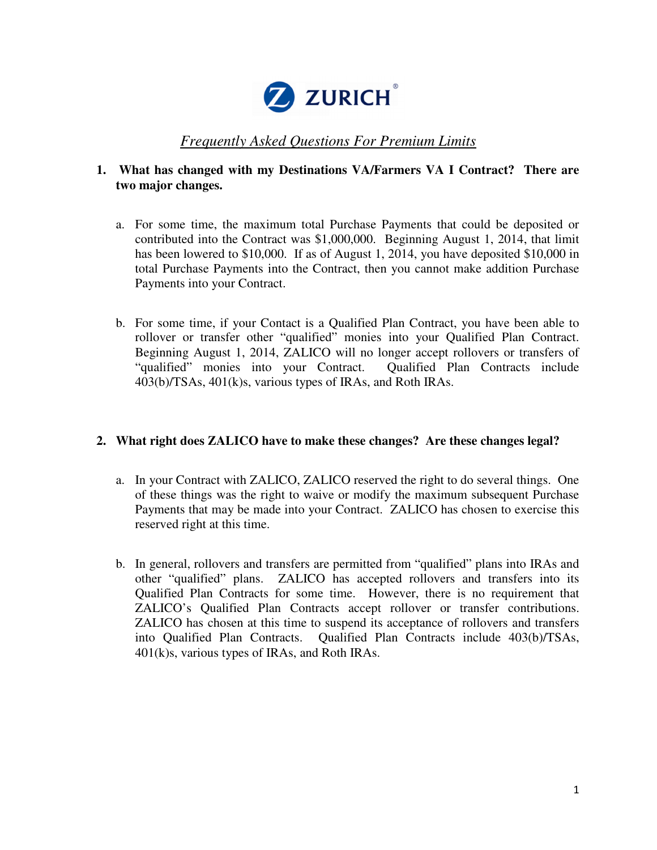

# *Frequently Asked Questions For Premium Limits*

# **1. What has changed with my Destinations VA/Farmers VA I Contract? There are two major changes.**

- a. For some time, the maximum total Purchase Payments that could be deposited or contributed into the Contract was \$1,000,000. Beginning August 1, 2014, that limit has been lowered to \$10,000. If as of August 1, 2014, you have deposited \$10,000 in total Purchase Payments into the Contract, then you cannot make addition Purchase Payments into your Contract.
- b. For some time, if your Contact is a Qualified Plan Contract, you have been able to rollover or transfer other "qualified" monies into your Qualified Plan Contract. Beginning August 1, 2014, ZALICO will no longer accept rollovers or transfers of "qualified" monies into your Contract. Qualified Plan Contracts include 403(b)/TSAs, 401(k)s, various types of IRAs, and Roth IRAs.

### **2. What right does ZALICO have to make these changes? Are these changes legal?**

- a. In your Contract with ZALICO, ZALICO reserved the right to do several things. One of these things was the right to waive or modify the maximum subsequent Purchase Payments that may be made into your Contract. ZALICO has chosen to exercise this reserved right at this time.
- b. In general, rollovers and transfers are permitted from "qualified" plans into IRAs and other "qualified" plans. ZALICO has accepted rollovers and transfers into its Qualified Plan Contracts for some time. However, there is no requirement that ZALICO's Qualified Plan Contracts accept rollover or transfer contributions. ZALICO has chosen at this time to suspend its acceptance of rollovers and transfers into Qualified Plan Contracts. Qualified Plan Contracts include 403(b)/TSAs, 401(k)s, various types of IRAs, and Roth IRAs.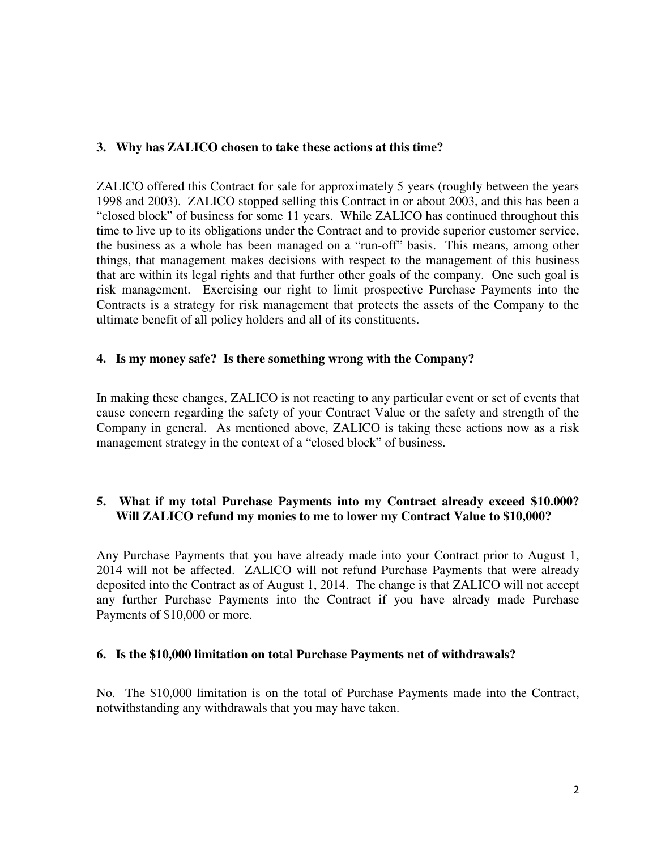### **3. Why has ZALICO chosen to take these actions at this time?**

ZALICO offered this Contract for sale for approximately 5 years (roughly between the years 1998 and 2003). ZALICO stopped selling this Contract in or about 2003, and this has been a "closed block" of business for some 11 years. While ZALICO has continued throughout this time to live up to its obligations under the Contract and to provide superior customer service, the business as a whole has been managed on a "run-off" basis. This means, among other things, that management makes decisions with respect to the management of this business that are within its legal rights and that further other goals of the company. One such goal is risk management. Exercising our right to limit prospective Purchase Payments into the Contracts is a strategy for risk management that protects the assets of the Company to the ultimate benefit of all policy holders and all of its constituents.

# **4. Is my money safe? Is there something wrong with the Company?**

In making these changes, ZALICO is not reacting to any particular event or set of events that cause concern regarding the safety of your Contract Value or the safety and strength of the Company in general. As mentioned above, ZALICO is taking these actions now as a risk management strategy in the context of a "closed block" of business.

# **5. What if my total Purchase Payments into my Contract already exceed \$10.000? Will ZALICO refund my monies to me to lower my Contract Value to \$10,000?**

Any Purchase Payments that you have already made into your Contract prior to August 1, 2014 will not be affected. ZALICO will not refund Purchase Payments that were already deposited into the Contract as of August 1, 2014. The change is that ZALICO will not accept any further Purchase Payments into the Contract if you have already made Purchase Payments of \$10,000 or more.

### **6. Is the \$10,000 limitation on total Purchase Payments net of withdrawals?**

No. The \$10,000 limitation is on the total of Purchase Payments made into the Contract, notwithstanding any withdrawals that you may have taken.